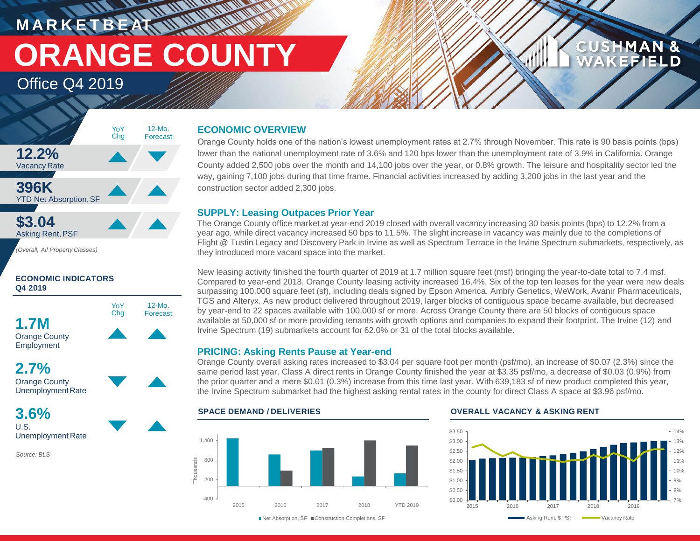**M A R K E T B E AT** Office Q4 2019 **ORANGE COUNTY**

> 12-Mo. Forecast

### **CUSHMAN &** FFIELD

### **12.2%** Vacancy Rate **396K YTD Net Absorption, SF \$3.04** 12-Mo. Forecast YoY Chg

*(Overall, All Property Classes)*

Asking Rent,PSF

### **ECONOMIC INDICATORS Q4 2019**



Employment

**2.7%** Orange County Unemployment Rate

**3.6%** U.S. Unemployment Rate

*Source: BLS*

### **ECONOMIC OVERVIEW**

**WALLAND** 

Orange County holds one of the nation's lowest unemployment rates at 2.7% through November. This rate is 90 basis points (bps) lower than the national unemployment rate of 3.6% and 120 bps lower than the unemployment rate of 3.9% in California. Orange County added 2,500 jobs over the month and 14,100 jobs over the year, or 0.8% growth. The leisure and hospitality sector led the way, gaining 7,100 jobs during that time frame. Financial activities increased by adding 3,200 jobs in the last year and the construction sector added 2,300 jobs.

### **SUPPLY: Leasing Outpaces Prior Year**

The Orange County office market at year-end 2019 closed with overall vacancy increasing 30 basis points (bps) to 12.2% from a year ago, while direct vacancy increased 50 bps to 11.5%. The slight increase in vacancy was mainly due to the completions of Flight @ Tustin Legacy and Discovery Park in Irvine as well as Spectrum Terrace in the Irvine Spectrum submarkets, respectively, as they introduced more vacant space into the market.

New leasing activity finished the fourth quarter of 2019 at 1.7 million square feet (msf) bringing the year-to-date total to 7.4 msf. Compared to year-end 2018, Orange County leasing activity increased 16.4%. Six of the top ten leases for the year were new deals surpassing 100,000 square feet (sf), including deals signed by Epson America, Ambry Genetics, WeWork, Avanir Pharmaceuticals, TGS and Alteryx. As new product delivered throughout 2019, larger blocks of contiguous space became available, but decreased by year-end to 22 spaces available with 100,000 sf or more. Across Orange County there are 50 blocks of contiguous space available at 50,000 sf or more providing tenants with growth options and companies to expand their footprint. The Irvine (12) and Irvine Spectrum (19) submarkets account for 62.0% or 31 of the total blocks available.

### **PRICING: Asking Rents Pause at Year-end**

Orange County overall asking rates increased to \$3.04 per square foot per month (psf/mo), an increase of \$0.07 (2.3%) since the same period last year. Class A direct rents in Orange County finished the year at \$3.35 psf/mo, a decrease of \$0.03 (0.9%) from the prior quarter and a mere \$0.01 (0.3%) increase from this time last year. With 639,183 sf of new product completed this year, the Irvine Spectrum submarket had the highest asking rental rates in the county for direct Class A space at \$3.96 psf/mo.

### -400 200 800 1,400 2015 2016 2017 2018 YTD 2019 **Thousands**

### **SPACE DEMAND / DELIVERIES OVERALL VACANCY & ASKING RENT**



■Net Absorption, SF ■ Construction Completions, SF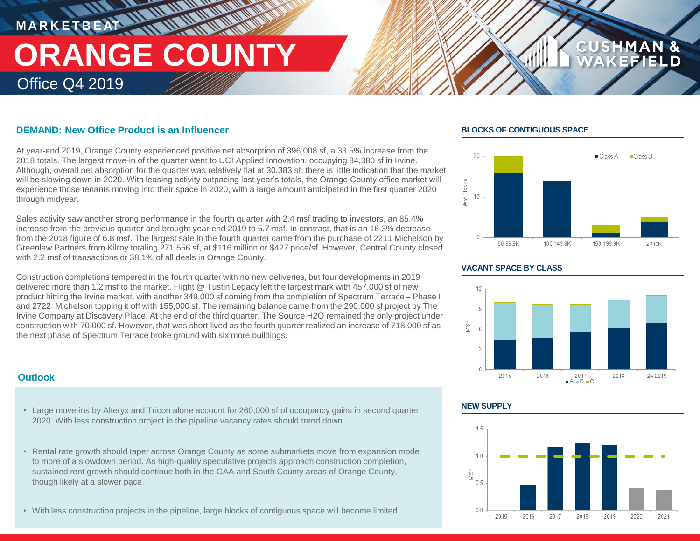# **M A R K E T B E AT** Office Q4 2019 **ORANGE COUNTY**

### **DEMAND: New Office Product is an Influencer**

At year-end 2019, Orange County experienced positive net absorption of 396,008 sf, a 33.5% increase from the 2018 totals. The largest move-in of the quarter went to UCI Applied Innovation, occupying 84,380 sf in Irvine. Although, overall net absorption for the quarter was relatively flat at 30,383 sf, there is little indication that the market will be slowing down in 2020. With leasing activity outpacing last year's totals, the Orange County office market will experience those tenants moving into their space in 2020, with a large amount anticipated in the first quarter 2020 through midyear.

Sales activity saw another strong performance in the fourth quarter with 2.4 msf trading to investors, an 85.4% increase from the previous quarter and brought year-end 2019 to 5.7 msf. In contrast, that is an 16.3% decrease from the 2018 figure of 6.8 msf. The largest sale in the fourth quarter came from the purchase of 2211 Michelson by Greenlaw Partners from Kilroy totaling 271,556 sf, at \$116 million or \$427 price/sf. However, Central County closed with 2.2 msf of transactions or 38.1% of all deals in Orange County.

Construction completions tempered in the fourth quarter with no new deliveries, but four developments in 2019 delivered more than 1.2 msf to the market. Flight @ Tustin Legacy left the largest mark with 457,000 sf of new product hitting the Irvine market, with another 349,000 sf coming from the completion of Spectrum Terrace – Phase I and 2722 Michelson topping it off with 155,000 sf. The remaining balance came from the 290,000 sf project by The Irvine Company at Discovery Place. At the end of the third quarter, The Source H2O remained the only project under construction with 70,000 sf. However, that was short-lived as the fourth quarter realized an increase of 718,000 sf as the next phase of Spectrum Terrace broke ground with six more buildings.

### **Outlook**

- Large move-ins by Alteryx and Tricon alone account for 260,000 sf of occupancy gains in second quarter 2020. With less construction project in the pipeline vacancy rates should trend down.
- Rental rate growth should taper across Orange County as some submarkets move from expansion mode to more of a slowdown period. As high-quality speculative projects approach construction completion, sustained rent growth should continue both in the GAA and South County areas of Orange County, though likely at a slower pace.
- With less construction projects in the pipeline, large blocks of contiguous space will become limited.

### **BLOCKS OF CONTIGUOUS SPACE**



**CUS** 

### **VACANT SPACE BY CLASS**



### **NEW SUPPLY**

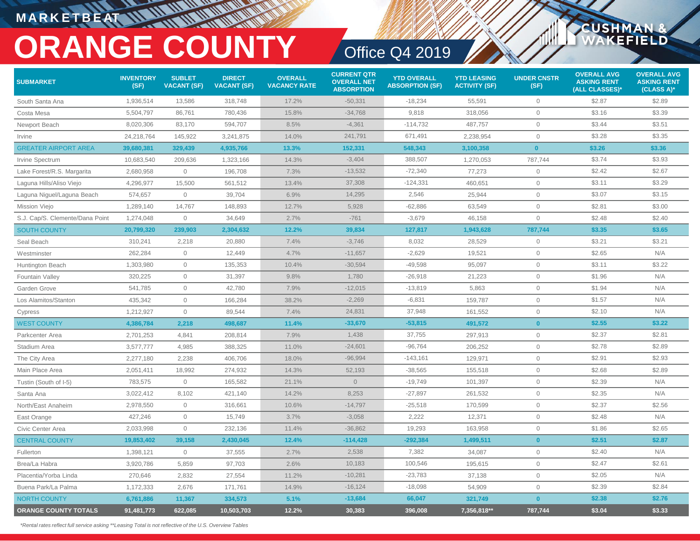### **M A R K E T B E AT**

# **ORANGE COUNTY** Office Q4 2019

CUSHMAN

**EFIELD** 

| <b>SUBMARKET</b>                | <b>INVENTORY</b><br>(SF) | <b>SUBLET</b><br><b>VACANT (SF)</b> | <b>DIRECT</b><br><b>VACANT (SF)</b> | <b>OVERALL</b><br><b>VACANCY RATE</b> | <b>CURRENT QTR</b><br><b>OVERALL NET</b><br><b>ABSORPTION</b> | <b>YTD OVERALL</b><br><b>ABSORPTION (SF)</b> | <b>YTD LEASING</b><br><b>ACTIVITY (SF)</b> | <b>UNDER CNSTR</b><br>(SF) | <b>OVERALL AVG</b><br><b>ASKING RENT</b><br>(ALL CLASSES)* | <b>OVERALL AVG</b><br><b>ASKING RENT</b><br>(CLASS A)* |
|---------------------------------|--------------------------|-------------------------------------|-------------------------------------|---------------------------------------|---------------------------------------------------------------|----------------------------------------------|--------------------------------------------|----------------------------|------------------------------------------------------------|--------------------------------------------------------|
| South Santa Ana                 | 1,936,514                | 13,586                              | 318,748                             | 17.2%                                 | $-50,331$                                                     | $-18.234$                                    | 55,591                                     | $\mathbf{0}$               | \$2.87                                                     | \$2.89                                                 |
| Costa Mesa                      | 5,504,797                | 86,761                              | 780,436                             | 15.8%                                 | $-34,768$                                                     | 9,818                                        | 318,056                                    | $\circ$                    | \$3.16                                                     | \$3.39                                                 |
| Newport Beach                   | 8,020,306                | 83,170                              | 594,707                             | 8.5%                                  | $-4,361$                                                      | $-114,732$                                   | 487,757                                    | $\circ$                    | \$3.44                                                     | \$3.51                                                 |
| Irvine                          | 24,218,764               | 145,922                             | 3,241,875                           | 14.0%                                 | 241,791                                                       | 671,491                                      | 2,238,954                                  | $\mathbf 0$                | \$3.28                                                     | \$3.35                                                 |
| <b>GREATER AIRPORT AREA</b>     | 39,680,381               | 329,439                             | 4,935,766                           | 13.3%                                 | 152,331                                                       | 548,343                                      | 3,100,358                                  | $\mathbf{0}$               | \$3.26                                                     | \$3.36                                                 |
| Irvine Spectrum                 | 10,683,540               | 209,636                             | 1,323,166                           | 14.3%                                 | $-3,404$                                                      | 388,507                                      | 1,270,053                                  | 787,744                    | \$3.74                                                     | \$3.93                                                 |
| Lake Forest/R.S. Margarita      | 2,680,958                | $\overline{0}$                      | 196,708                             | 7.3%                                  | $-13,532$                                                     | $-72,340$                                    | 77,273                                     | $\mathbf 0$                | \$2.42                                                     | \$2.67                                                 |
| Laguna Hills/Aliso Viejo        | 4,296,977                | 15,500                              | 561,512                             | 13.4%                                 | 37,308                                                        | $-124,331$                                   | 460,651                                    | $\mathbf 0$                | \$3.11                                                     | \$3.29                                                 |
| Laguna Niguel/Laguna Beach      | 574,657                  | $\overline{0}$                      | 39,704                              | 6.9%                                  | 14,295                                                        | 2,546                                        | 25,944                                     | $\mathbf 0$                | \$3.07                                                     | \$3.15                                                 |
| Mission Viejo                   | 1,289,140                | 14,767                              | 148,893                             | 12.7%                                 | 5,928                                                         | $-62,886$                                    | 63,549                                     | $\mathbf 0$                | \$2.81                                                     | \$3.00                                                 |
| S.J. Cap/S. Clemente/Dana Point | 1,274,048                | $\mathbf 0$                         | 34,649                              | 2.7%                                  | $-761$                                                        | $-3,679$                                     | 46,158                                     | $\mathbf 0$                | \$2.48                                                     | \$2.40                                                 |
| <b>SOUTH COUNTY</b>             | 20,799,320               | 239,903                             | 2,304,632                           | 12.2%                                 | 39,834                                                        | 127,817                                      | 1,943,628                                  | 787,744                    | \$3.35                                                     | \$3.65                                                 |
| Seal Beach                      | 310,241                  | 2,218                               | 20,880                              | 7.4%                                  | $-3,746$                                                      | 8,032                                        | 28,529                                     | $\mathbf 0$                | \$3.21                                                     | \$3.21                                                 |
| Westminster                     | 262,284                  | $\mathbf{0}$                        | 12,449                              | 4.7%                                  | $-11,657$                                                     | $-2,629$                                     | 19,521                                     | $\mathbf 0$                | \$2.65                                                     | N/A                                                    |
| Huntington Beach                | 1,303,980                | $\overline{0}$                      | 135,353                             | 10.4%                                 | $-30,594$                                                     | $-49,598$                                    | 95,097                                     | $\mathbf 0$                | \$3.11                                                     | \$3.22                                                 |
| <b>Fountain Valley</b>          | 320,225                  | $\overline{0}$                      | 31,397                              | 9.8%                                  | 1,780                                                         | $-26,918$                                    | 21,223                                     | $\mathbf 0$                | \$1.96                                                     | N/A                                                    |
| Garden Grove                    | 541,785                  | $\mathbf 0$                         | 42,780                              | 7.9%                                  | $-12,015$                                                     | $-13,819$                                    | 5,863                                      | $\mathbf 0$                | \$1.94                                                     | N/A                                                    |
| Los Alamitos/Stanton            | 435,342                  | $\overline{0}$                      | 166,284                             | 38.2%                                 | $-2,269$                                                      | $-6,831$                                     | 159,787                                    | $\mathbf 0$                | \$1.57                                                     | N/A                                                    |
| Cypress                         | 1,212,927                | $\overline{0}$                      | 89,544                              | 7.4%                                  | 24,831                                                        | 37,948                                       | 161,552                                    | $\mathbf 0$                | \$2.10                                                     | N/A                                                    |
| <b>WEST COUNTY</b>              | 4,386,784                | 2,218                               | 498,687                             | 11.4%                                 | $-33,670$                                                     | $-53,815$                                    | 491,572                                    | $\mathbf{0}$               | \$2.55                                                     | \$3.22                                                 |
| Parkcenter Area                 | 2,701,253                | 4,841                               | 208,814                             | 7.9%                                  | 1,438                                                         | 37,755                                       | 297,913                                    | $\circ$                    | \$2.37                                                     | \$2.81                                                 |
| Stadium Area                    | 3,577,777                | 4,985                               | 388,325                             | 11.0%                                 | $-24,601$                                                     | $-96,764$                                    | 206,252                                    | $\circ$                    | \$2.78                                                     | \$2.89                                                 |
| The City Area                   | 2,277,180                | 2,238                               | 406,706                             | 18.0%                                 | $-96,994$                                                     | $-143,161$                                   | 129,971                                    | $\circ$                    | \$2.91                                                     | \$2.93                                                 |
| Main Place Area                 | 2,051,411                | 18,992                              | 274,932                             | 14.3%                                 | 52,193                                                        | $-38,565$                                    | 155,518                                    | $\circ$                    | \$2.68                                                     | \$2.89                                                 |
| Tustin (South of I-5)           | 783,575                  | $\mathbf 0$                         | 165,582                             | 21.1%                                 | $\sqrt{0}$                                                    | $-19,749$                                    | 101,397                                    | $\circ$                    | \$2.39                                                     | N/A                                                    |
| Santa Ana                       | 3,022,412                | 8,102                               | 421,140                             | 14.2%                                 | 8,253                                                         | $-27,897$                                    | 261,532                                    | $\mathbf 0$                | \$2.35                                                     | N/A                                                    |
| North/East Anaheim              | 2,978,550                | $\mathbf 0$                         | 316,661                             | 10.6%                                 | $-14,797$                                                     | $-25,518$                                    | 170,599                                    | $\mathbf 0$                | \$2.37                                                     | \$2.56                                                 |
| East Orange                     | 427,246                  | $\mathbf 0$                         | 15,749                              | 3.7%                                  | $-3,058$                                                      | 2,222                                        | 12,371                                     | $\circ$                    | \$2.48                                                     | N/A                                                    |
| Civic Center Area               | 2,033,998                | $\mathbf 0$                         | 232,136                             | 11.4%                                 | $-36,862$                                                     | 19,293                                       | 163,958                                    | $\mathbf 0$                | \$1.86                                                     | \$2.65                                                 |
| <b>CENTRAL COUNTY</b>           | 19,853,402               | 39,158                              | 2,430,045                           | 12.4%                                 | $-114,428$                                                    | $-292,384$                                   | 1,499,511                                  | $\bf{0}$                   | \$2.51                                                     | \$2.87                                                 |
| Fullerton                       | 1,398,121                | $\overline{0}$                      | 37,555                              | 2.7%                                  | 2,538                                                         | 7,382                                        | 34,087                                     | $\circ$                    | \$2.40                                                     | N/A                                                    |
| Brea/La Habra                   | 3,920,786                | 5,859                               | 97,703                              | 2.6%                                  | 10,183                                                        | 100,546                                      | 195,615                                    | $\mathbf 0$                | \$2.47                                                     | \$2.61                                                 |
| Placentia/Yorba Linda           | 270,646                  | 2,832                               | 27,554                              | 11.2%                                 | $-10,281$                                                     | $-23,783$                                    | 37,138                                     | $\mathbf{0}$               | \$2.05                                                     | N/A                                                    |
| Buena Park/La Palma             | 1,172,333                | 2,676                               | 171,761                             | 14.9%                                 | $-16,124$                                                     | $-18,098$                                    | 54,909                                     | $\mathbf 0$                | \$2.39                                                     | \$2.84                                                 |
| <b>NORTH COUNTY</b>             | 6,761,886                | 11,367                              | 334,573                             | 5.1%                                  | $-13,684$                                                     | 66,047                                       | 321,749                                    | $\mathbf{0}$               | \$2.38                                                     | \$2.76                                                 |
| <b>ORANGE COUNTY TOTALS</b>     | 91,481,773               | 622,085                             | 10,503,703                          | 12.2%                                 | 30,383                                                        | 396,008                                      | 7,356,818**                                | 787,744                    | \$3.04                                                     | \$3.33                                                 |

*\*Rental rates reflect full service asking \*\*Leasing Total is not reflective of the U.S. Overview Tables*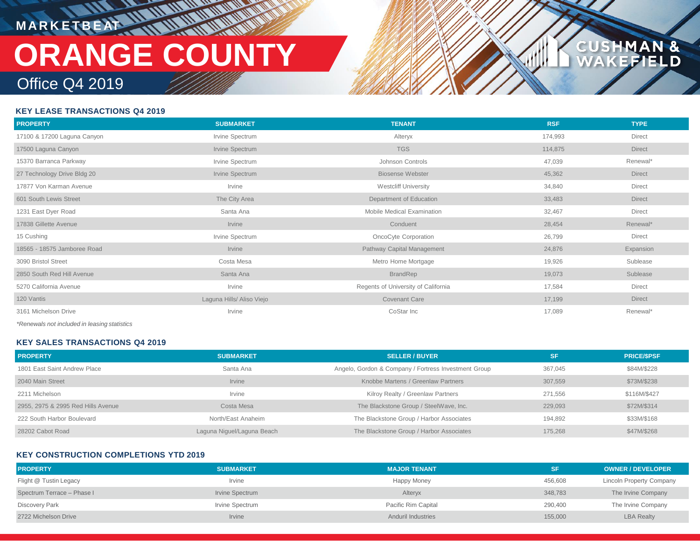**M A R K E T B E AT**

## Office Q4 2019 **ORANGE COUNTY**

### **MAN &<br>FIELD CUSHM**

### **KEY LEASE TRANSACTIONS Q4 2019**

| <b>PROPERTY</b>                                    | <b>SUBMARKET</b>          | <b>TENANT</b>                       | <b>RSF</b> | <b>TYPE</b>   |
|----------------------------------------------------|---------------------------|-------------------------------------|------------|---------------|
| 17100 & 17200 Laguna Canyon                        | Irvine Spectrum           | Alteryx                             | 174,993    | Direct        |
| 17500 Laguna Canyon                                | Irvine Spectrum           | <b>TGS</b>                          | 114,875    | <b>Direct</b> |
| 15370 Barranca Parkway                             | Irvine Spectrum           | Johnson Controls                    | 47,039     | Renewal*      |
| 27 Technology Drive Bldg 20                        | Irvine Spectrum           | <b>Biosense Webster</b>             | 45,362     | <b>Direct</b> |
| 17877 Von Karman Avenue                            | Irvine                    | <b>Westcliff University</b>         | 34,840     | Direct        |
| 601 South Lewis Street                             | The City Area             | Department of Education             | 33,483     | <b>Direct</b> |
| 1231 East Dyer Road                                | Santa Ana                 | Mobile Medical Examination          | 32,467     | Direct        |
| 17838 Gillette Avenue                              | Irvine                    | Conduent                            | 28,454     | Renewal*      |
| 15 Cushing                                         | Irvine Spectrum           | OncoCyte Corporation                | 26,799     | Direct        |
| 18565 - 18575 Jamboree Road                        | Irvine                    | Pathway Capital Management          | 24,876     | Expansion     |
| 3090 Bristol Street                                | Costa Mesa                | Metro Home Mortgage                 | 19,926     | Sublease      |
| 2850 South Red Hill Avenue                         | Santa Ana                 | <b>BrandRep</b>                     | 19,073     | Sublease      |
| 5270 California Avenue                             | Irvine                    | Regents of University of California | 17,584     | Direct        |
| 120 Vantis                                         | Laguna Hills/ Aliso Viejo | Covenant Care                       | 17,199     | <b>Direct</b> |
| 3161 Michelson Drive                               | Irvine                    | CoStar Inc                          | 17,089     | Renewal*      |
| $*D$ ana $u$ ala nativaludad in lagaing atatiatian |                           |                                     |            |               |

*\*Renewals not included in leasing statistics*

### **KEY SALES TRANSACTIONS Q4 2019**

| <b>PROPERTY</b>                    | <b>SUBMARKET</b>           | <b>SELLER / BUYER</b>                                | <b>SF</b> | <b>PRICE/SPSF</b> |
|------------------------------------|----------------------------|------------------------------------------------------|-----------|-------------------|
| 1801 East Saint Andrew Place       | Santa Ana                  | Angelo, Gordon & Company / Fortress Investment Group | 367.045   | \$84M/\$228       |
| 2040 Main Street                   | Irvine                     | Knobbe Martens / Greenlaw Partners                   | 307.559   | \$73M/\$238       |
| 2211 Michelson                     | Irvine                     | Kilroy Realty / Greenlaw Partners                    | 271.556   | \$116M/\$427      |
| 2955, 2975 & 2995 Red Hills Avenue | Costa Mesa                 | The Blackstone Group / SteelWave, Inc.               | 229.093   | \$72M/\$314       |
| 222 South Harbor Boulevard         | North/East Anaheim         | The Blackstone Group / Harbor Associates             | 194.892   | \$33M/\$168       |
| 28202 Cabot Road                   | Laguna Niguel/Laguna Beach | The Blackstone Group / Harbor Associates             | 175.268   | \$47M/\$268       |

### **KEY CONSTRUCTION COMPLETIONS YTD 2019**

| <b>PROPERTY</b>            | <b>SUBMARKET</b> | <b>MAJOR TENANT</b>       | <b>SF</b> | <b>OWNER / DEVELOPER</b>        |
|----------------------------|------------------|---------------------------|-----------|---------------------------------|
| Flight @ Tustin Legacy     | Irvine           | Happy Money               | 456,608   | <b>Lincoln Property Company</b> |
| Spectrum Terrace - Phase I | Irvine Spectrum  | Alteryx                   | 348,783   | The Irvine Company              |
| <b>Discovery Park</b>      | Irvine Spectrum  | Pacific Rim Capital       | 290,400   | The Irvine Company              |
| 2722 Michelson Drive       | Irvine           | <b>Anduril Industries</b> | 155,000   | <b>LBA Realty</b>               |